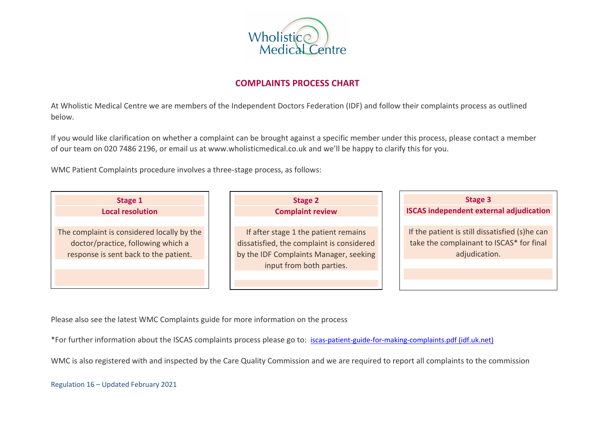

# **COMPLAINTS PROCESS CHART**

At Wholistic Medical Centre we are members of the Independent Doctors Federation (IDF) and follow their complaints process as outlined below.

If you would like clarification on whether a complaint can be brought against a specific member under this process, please contact a member of our team on 020 7486 2196, or email us at www.wholisticmedical.co.uk and we'll be happy to clarify this for you.

WMC Patient Complaints procedure involves a three-stage process, as follows:

| Stage 1                                                                                                                   | Stage 2                                                                                                                                                 | Stage 3                                                                                                     |
|---------------------------------------------------------------------------------------------------------------------------|---------------------------------------------------------------------------------------------------------------------------------------------------------|-------------------------------------------------------------------------------------------------------------|
| <b>Local resolution</b>                                                                                                   | <b>Complaint review</b>                                                                                                                                 | <b>ISCAS independent external adjudication</b>                                                              |
| The complaint is considered locally by the<br>doctor/practice, following which a<br>response is sent back to the patient. | If after stage 1 the patient remains<br>dissatisfied, the complaint is considered<br>by the IDF Complaints Manager, seeking<br>input from both parties. | If the patient is still dissatisfied (s)he can<br>take the complainant to ISCAS* for final<br>adjudication. |

Please also see the latest WMC Complaints guide for more information on the process

\*For further information about the ISCAS complaints process please go to: iscas-patient-guide-for-making-complaints.pdf (idf.uk.net)

WMC is also registered with and inspected by the Care Quality Commission and we are required to report all complaints to the commission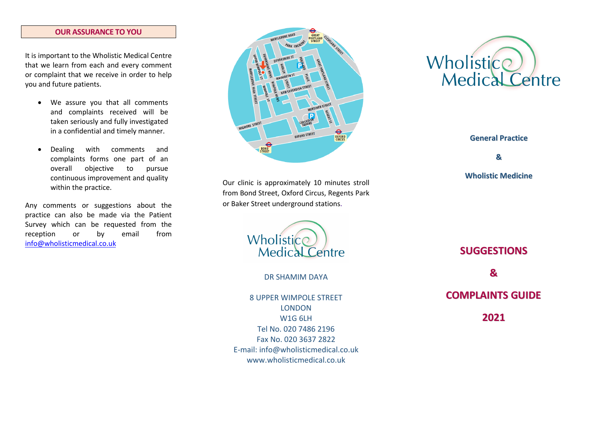#### **OUR ASSURANCE TO YOU**

It is important to the Wholistic Medical Centre that we learn from each and every comment or complaint that we receive in order to help you and future patients.

- We assure you that all comments and complaints received will be taken seriously and fully investigated in a confidential and timely manner.
- Dealing with comments and complaints forms one part of an overall objective to pursue continuous improvement and quality within the practice.

Any comments or suggestions about the practice can also be made via the Patient Survey which can be requested from the reception or by email from info@wholisticmedical.co.uk



Our clinic is approximately 10 minutes stroll from Bond Street, Oxford Circus, Regents Park or Baker Street underground stations.



DR SHAMIM DAYA

8 UPPER WIMPOLE STREET LONDON W1G 6LH Tel No. 020 7486 2196 Fax No. 020 3637 2822 E-mail: info@wholisticmedical.co.uk www.wholisticmedical.co.uk



**General Practice**

**&**

## **Wholistic Medicine**

**SUGGESTIONS & COMPLAINTS GUIDE 2021**